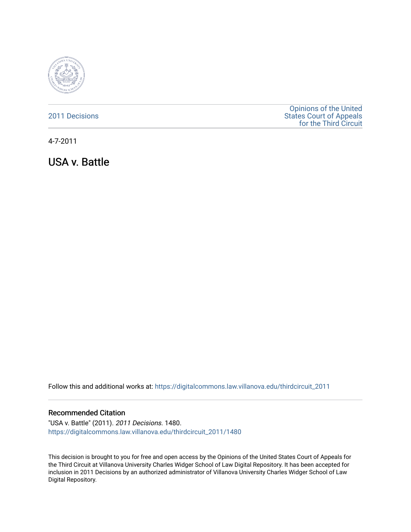

| 2011 Decisions | <b>Opinions of the United</b>  |
|----------------|--------------------------------|
|                | <b>States Court of Appeals</b> |
|                | for the Third Circuit          |

4-7-2011

USA v. Battle

Follow this and additional works at: [https://digitalcommons.law.villanova.edu/thirdcircuit\\_2011](https://digitalcommons.law.villanova.edu/thirdcircuit_2011?utm_source=digitalcommons.law.villanova.edu%2Fthirdcircuit_2011%2F1480&utm_medium=PDF&utm_campaign=PDFCoverPages) 

#### Recommended Citation

"USA v. Battle" (2011). 2011 Decisions. 1480. [https://digitalcommons.law.villanova.edu/thirdcircuit\\_2011/1480](https://digitalcommons.law.villanova.edu/thirdcircuit_2011/1480?utm_source=digitalcommons.law.villanova.edu%2Fthirdcircuit_2011%2F1480&utm_medium=PDF&utm_campaign=PDFCoverPages) 

This decision is brought to you for free and open access by the Opinions of the United States Court of Appeals for the Third Circuit at Villanova University Charles Widger School of Law Digital Repository. It has been accepted for inclusion in 2011 Decisions by an authorized administrator of Villanova University Charles Widger School of Law Digital Repository.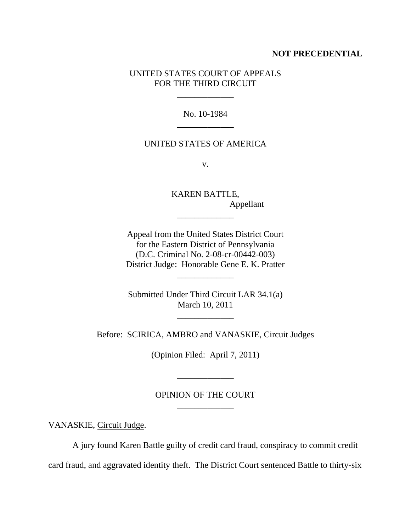## **NOT PRECEDENTIAL**

# UNITED STATES COURT OF APPEALS FOR THE THIRD CIRCUIT

\_\_\_\_\_\_\_\_\_\_\_\_\_

No. 10-1984 \_\_\_\_\_\_\_\_\_\_\_\_\_

## UNITED STATES OF AMERICA

v.

KAREN BATTLE, Appellant \_\_\_\_\_\_\_\_\_\_\_\_\_

Appeal from the United States District Court for the Eastern District of Pennsylvania (D.C. Criminal No. 2-08-cr-00442-003) District Judge: Honorable Gene E. K. Pratter

\_\_\_\_\_\_\_\_\_\_\_\_\_

Submitted Under Third Circuit LAR 34.1(a) March 10, 2011

\_\_\_\_\_\_\_\_\_\_\_\_\_

Before: SCIRICA, AMBRO and VANASKIE, Circuit Judges

(Opinion Filed: April 7, 2011)

\_\_\_\_\_\_\_\_\_\_\_\_\_

OPINION OF THE COURT \_\_\_\_\_\_\_\_\_\_\_\_\_

VANASKIE, Circuit Judge.

A jury found Karen Battle guilty of credit card fraud, conspiracy to commit credit

card fraud, and aggravated identity theft. The District Court sentenced Battle to thirty-six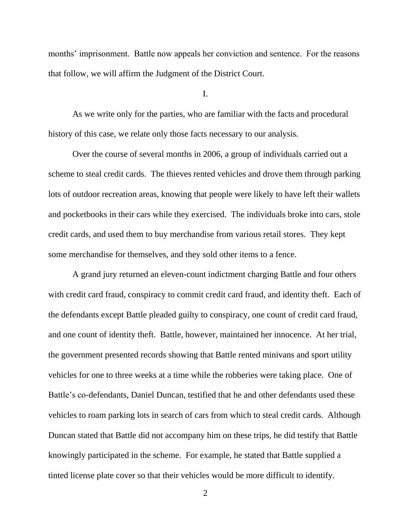months' imprisonment. Battle now appeals her conviction and sentence. For the reasons that follow, we will affirm the Judgment of the District Court.

I.

As we write only for the parties, who are familiar with the facts and procedural history of this case, we relate only those facts necessary to our analysis.

Over the course of several months in 2006, a group of individuals carried out a scheme to steal credit cards. The thieves rented vehicles and drove them through parking lots of outdoor recreation areas, knowing that people were likely to have left their wallets and pocketbooks in their cars while they exercised. The individuals broke into cars, stole credit cards, and used them to buy merchandise from various retail stores. They kept some merchandise for themselves, and they sold other items to a fence.

A grand jury returned an eleven-count indictment charging Battle and four others with credit card fraud, conspiracy to commit credit card fraud, and identity theft. Each of the defendants except Battle pleaded guilty to conspiracy, one count of credit card fraud, and one count of identity theft. Battle, however, maintained her innocence. At her trial, the government presented records showing that Battle rented minivans and sport utility vehicles for one to three weeks at a time while the robberies were taking place. One of Battle's co-defendants, Daniel Duncan, testified that he and other defendants used these vehicles to roam parking lots in search of cars from which to steal credit cards. Although Duncan stated that Battle did not accompany him on these trips, he did testify that Battle knowingly participated in the scheme. For example, he stated that Battle supplied a tinted license plate cover so that their vehicles would be more difficult to identify.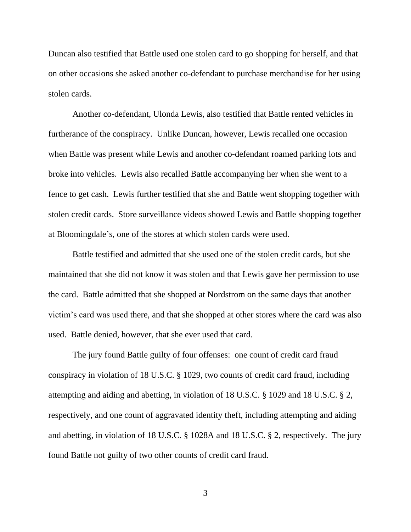Duncan also testified that Battle used one stolen card to go shopping for herself, and that on other occasions she asked another co-defendant to purchase merchandise for her using stolen cards.

Another co-defendant, Ulonda Lewis, also testified that Battle rented vehicles in furtherance of the conspiracy. Unlike Duncan, however, Lewis recalled one occasion when Battle was present while Lewis and another co-defendant roamed parking lots and broke into vehicles. Lewis also recalled Battle accompanying her when she went to a fence to get cash. Lewis further testified that she and Battle went shopping together with stolen credit cards. Store surveillance videos showed Lewis and Battle shopping together at Bloomingdale"s, one of the stores at which stolen cards were used.

Battle testified and admitted that she used one of the stolen credit cards, but she maintained that she did not know it was stolen and that Lewis gave her permission to use the card. Battle admitted that she shopped at Nordstrom on the same days that another victim"s card was used there, and that she shopped at other stores where the card was also used. Battle denied, however, that she ever used that card.

The jury found Battle guilty of four offenses: one count of credit card fraud conspiracy in violation of 18 U.S.C. § 1029, two counts of credit card fraud, including attempting and aiding and abetting, in violation of 18 U.S.C. § 1029 and 18 U.S.C. § 2, respectively, and one count of aggravated identity theft, including attempting and aiding and abetting, in violation of 18 U.S.C. § 1028A and 18 U.S.C. § 2, respectively. The jury found Battle not guilty of two other counts of credit card fraud.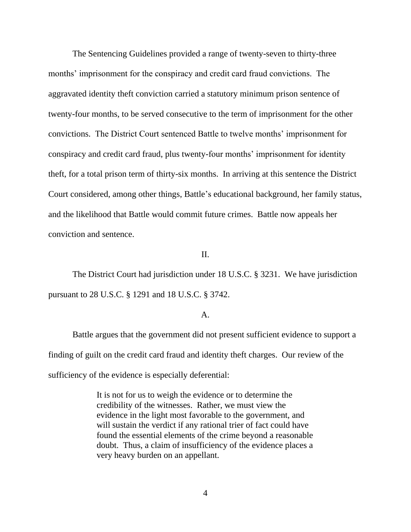The Sentencing Guidelines provided a range of twenty-seven to thirty-three months' imprisonment for the conspiracy and credit card fraud convictions. The aggravated identity theft conviction carried a statutory minimum prison sentence of twenty-four months, to be served consecutive to the term of imprisonment for the other convictions. The District Court sentenced Battle to twelve months" imprisonment for conspiracy and credit card fraud, plus twenty-four months" imprisonment for identity theft, for a total prison term of thirty-six months. In arriving at this sentence the District Court considered, among other things, Battle"s educational background, her family status, and the likelihood that Battle would commit future crimes. Battle now appeals her conviction and sentence.

#### II.

The District Court had jurisdiction under 18 U.S.C. § 3231. We have jurisdiction pursuant to 28 U.S.C. § 1291 and 18 U.S.C. § 3742.

## A.

Battle argues that the government did not present sufficient evidence to support a finding of guilt on the credit card fraud and identity theft charges. Our review of the sufficiency of the evidence is especially deferential:

> It is not for us to weigh the evidence or to determine the credibility of the witnesses. Rather, we must view the evidence in the light most favorable to the government, and will sustain the verdict if any rational trier of fact could have found the essential elements of the crime beyond a reasonable doubt. Thus, a claim of insufficiency of the evidence places a very heavy burden on an appellant.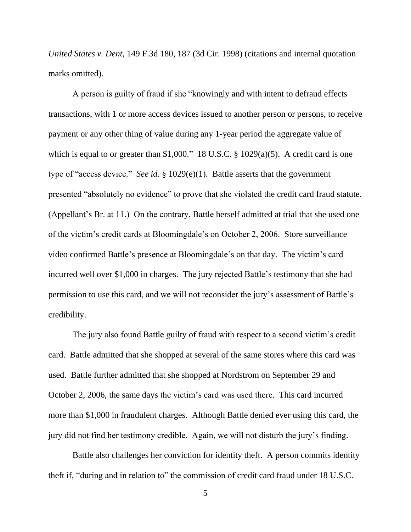*United States v. Dent*, 149 F.3d 180, 187 (3d Cir. 1998) (citations and internal quotation marks omitted).

A person is guilty of fraud if she "knowingly and with intent to defraud effects transactions, with 1 or more access devices issued to another person or persons, to receive payment or any other thing of value during any 1-year period the aggregate value of which is equal to or greater than \$1,000." 18 U.S.C. § 1029(a)(5). A credit card is one type of "access device." *See id.* § 1029(e)(1). Battle asserts that the government presented "absolutely no evidence" to prove that she violated the credit card fraud statute. (Appellant"s Br. at 11.) On the contrary, Battle herself admitted at trial that she used one of the victim"s credit cards at Bloomingdale"s on October 2, 2006. Store surveillance video confirmed Battle"s presence at Bloomingdale"s on that day. The victim"s card incurred well over \$1,000 in charges. The jury rejected Battle's testimony that she had permission to use this card, and we will not reconsider the jury"s assessment of Battle"s credibility.

The jury also found Battle guilty of fraud with respect to a second victim"s credit card. Battle admitted that she shopped at several of the same stores where this card was used. Battle further admitted that she shopped at Nordstrom on September 29 and October 2, 2006, the same days the victim"s card was used there. This card incurred more than \$1,000 in fraudulent charges. Although Battle denied ever using this card, the jury did not find her testimony credible. Again, we will not disturb the jury"s finding.

Battle also challenges her conviction for identity theft. A person commits identity theft if, "during and in relation to" the commission of credit card fraud under 18 U.S.C.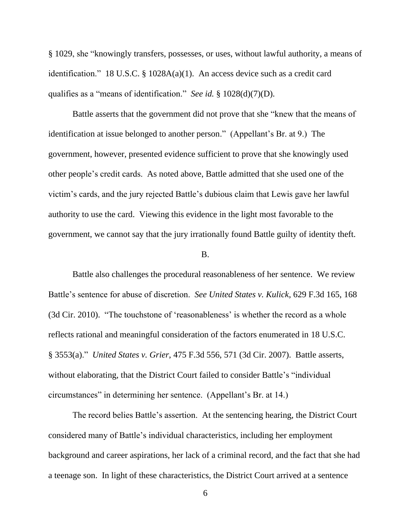§ 1029, she "knowingly transfers, possesses, or uses, without lawful authority, a means of identification." 18 U.S.C. § 1028A(a)(1). An access device such as a credit card qualifies as a "means of identification." *See id.* § 1028(d)(7)(D).

Battle asserts that the government did not prove that she "knew that the means of identification at issue belonged to another person." (Appellant's Br. at 9.) The government, however, presented evidence sufficient to prove that she knowingly used other people"s credit cards. As noted above, Battle admitted that she used one of the victim"s cards, and the jury rejected Battle"s dubious claim that Lewis gave her lawful authority to use the card. Viewing this evidence in the light most favorable to the government, we cannot say that the jury irrationally found Battle guilty of identity theft.

#### B.

Battle also challenges the procedural reasonableness of her sentence. We review Battle"s sentence for abuse of discretion. *See United States v. Kulick*, 629 F.3d 165, 168 (3d Cir. 2010). "The touchstone of 'reasonableness' is whether the record as a whole reflects rational and meaningful consideration of the factors enumerated in 18 U.S.C. § 3553(a)." *United States v. Grier*, 475 F.3d 556, 571 (3d Cir. 2007). Battle asserts, without elaborating, that the District Court failed to consider Battle's "individual circumstances" in determining her sentence. (Appellant"s Br. at 14.)

The record belies Battle"s assertion. At the sentencing hearing, the District Court considered many of Battle"s individual characteristics, including her employment background and career aspirations, her lack of a criminal record, and the fact that she had a teenage son. In light of these characteristics, the District Court arrived at a sentence